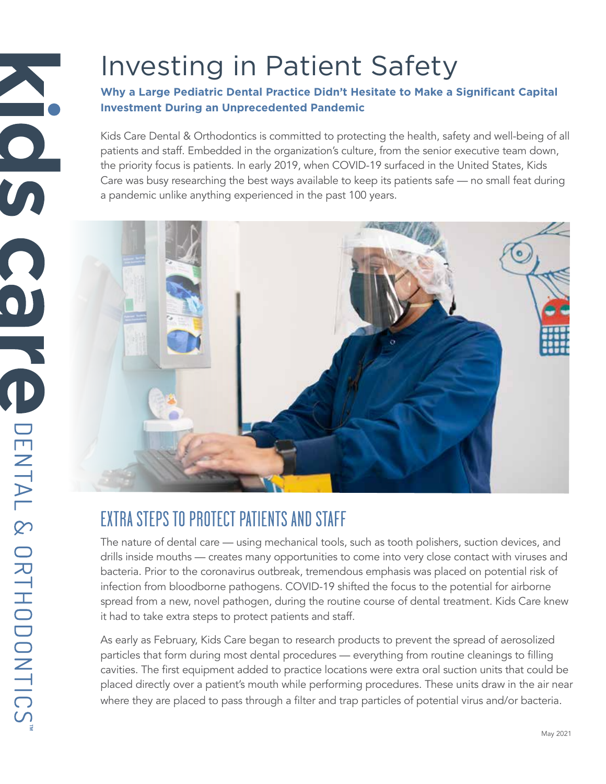#### **Why a Large Pediatric Dental Practice Didn't Hesitate to Make a Significant Capital Investment During an Unprecedented Pandemic**

Kids Care Dental & Orthodontics is committed to protecting the health, safety and well-being of all patients and staff. Embedded in the organization's culture, from the senior executive team down, the priority focus is patients. In early 2019, when COVID-19 surfaced in the United States, Kids Care was busy researching the best ways available to keep its patients safe — no small feat during a pandemic unlike anything experienced in the past 100 years.



# EXTRA STEPS TO PROTECT PATIENTS AND STAFF

The nature of dental care — using mechanical tools, such as tooth polishers, suction devices, and drills inside mouths — creates many opportunities to come into very close contact with viruses and bacteria. Prior to the coronavirus outbreak, tremendous emphasis was placed on potential risk of infection from bloodborne pathogens. COVID-19 shifted the focus to the potential for airborne spread from a new, novel pathogen, during the routine course of dental treatment. Kids Care knew it had to take extra steps to protect patients and staff.

As early as February, Kids Care began to research products to prevent the spread of aerosolized particles that form during most dental procedures — everything from routine cleanings to filling cavities. The first equipment added to practice locations were extra oral suction units that could be placed directly over a patient's mouth while performing procedures. These units draw in the air near where they are placed to pass through a filter and trap particles of potential virus and/or bacteria.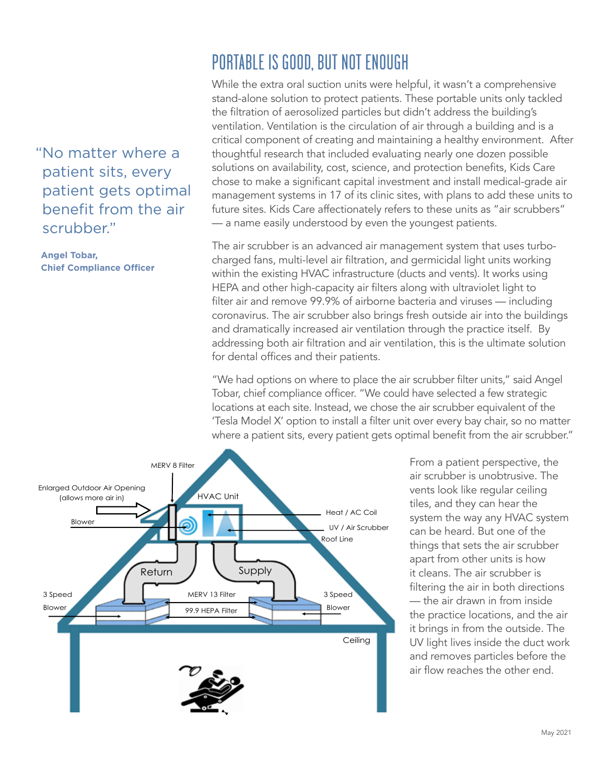"No matter where a patient sits, every patient gets optimal benefit from the air scrubber."

**Angel Tobar, Chief Compliance Officer**

## PORTABLE IS GOOD, BUT NOT ENOUGH

While the extra oral suction units were helpful, it wasn't a comprehensive stand-alone solution to protect patients. These portable units only tackled the filtration of aerosolized particles but didn't address the building's ventilation. Ventilation is the circulation of air through a building and is a critical component of creating and maintaining a healthy environment. After thoughtful research that included evaluating nearly one dozen possible solutions on availability, cost, science, and protection benefits, Kids Care chose to make a significant capital investment and install medical-grade air management systems in 17 of its clinic sites, with plans to add these units to future sites. Kids Care affectionately refers to these units as "air scrubbers" — a name easily understood by even the youngest patients.

The air scrubber is an advanced air management system that uses turbocharged fans, multi-level air filtration, and germicidal light units working within the existing HVAC infrastructure (ducts and vents). It works using HEPA and other high-capacity air filters along with ultraviolet light to filter air and remove 99.9% of airborne bacteria and viruses — including coronavirus. The air scrubber also brings fresh outside air into the buildings and dramatically increased air ventilation through the practice itself. By addressing both air filtration and air ventilation, this is the ultimate solution for dental offices and their patients.

"We had options on where to place the air scrubber filter units," said Angel Tobar, chief compliance officer. "We could have selected a few strategic locations at each site. Instead, we chose the air scrubber equivalent of the 'Tesla Model X' option to install a filter unit over every bay chair, so no matter where a patient sits, every patient gets optimal benefit from the air scrubber."



From a patient perspective, the air scrubber is unobtrusive. The vents look like regular ceiling tiles, and they can hear the system the way any HVAC system can be heard. But one of the things that sets the air scrubber apart from other units is how it cleans. The air scrubber is filtering the air in both directions — the air drawn in from inside the practice locations, and the air it brings in from the outside. The UV light lives inside the duct work and removes particles before the air flow reaches the other end.